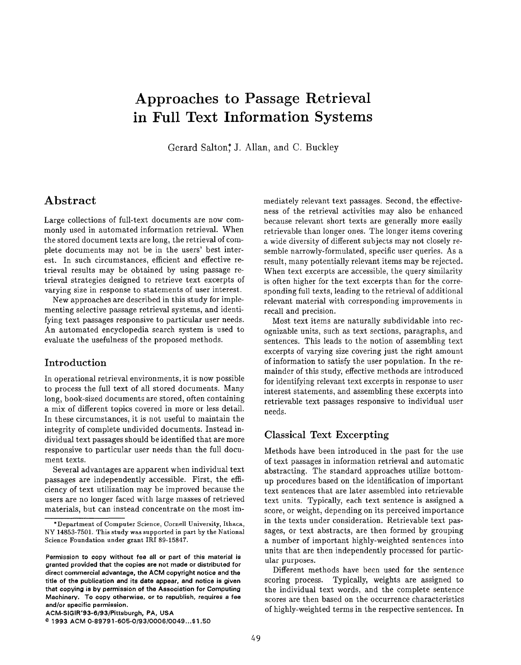# Approaches to Passage Retrieval in Full Text Information Systems

Gerard Salton,<sup>\*</sup> J. Allan, and C. Buckley

# Abstract

Large collections of full-text documents are now commonly used in automated information retrieval. When the stored document texts are long, the retrieval of complete documents may not be in the users' best interest. In such circumstances, efficient and effective retrieval results may be obtained by using passage retrieval strategies designed to retrieve text excerpts of varying size in response to statements of user interest.

New approaches are described in this study for implementing selective passage retrieval systems, and identifying text passages responsive to particular user needs. An automated encyclopedia search system is used to evaluate the usefulness of the proposed methods.

#### Introduction

In operational retrieval environments, it is now possible to process the full text of all stored documents. Many long, book-sized documents are stored, often containing a mix of different topics covered in more or less detail. In these circumstances, it is not useful to maintain the integrity of complete undivided documents. Instead individual text passages should be identified that are more responsive to particular user needs than the full document texts.

Several advantages are apparent when individual text passages are independently accessible. First, the efficiency of text utilization may be improved because the users are no longer faced with large masses of retrieved materials, but can instead concentrate on the most immediately relevant text passages. Second, the effectiveness of the retrieval activities may also be enhanced because relevant short texts are generally more easily retrievable than longer ones. The longer items covering a wide diversity of different subjects may not closely resemble narrowly-formulated, specific user queries. As a result, many potentially relevant items may be rejected. When text excerpts are accessible, the query similarity is often higher for the text excerpts than for the corresponding full texts, leading to the retrieval of additional relevant material with corresponding improvements in recall and precision.

Most text items are naturally subdividable into recognizable units, such as text sections, paragraphs, and sentences. This leads to the notion of assembling text excerpts of varying size covering just the right amount of information to satisfy the user population. In the remainder of this study, effective methods are introduced for identifying relevant text excerpts in response to user interest statements, and assembling these excerpts into retrievable text passages responsive to individual user needs.

## Classical Text Excerpting

Methods have been introduced in the past for the use of text passages in information retrieval and automatic abstracting. The standard approaches utilize bottomup procedures based on the identification of important text sentences that are later assembled into retrievable text units. Typically, each text sentence is assigned a score, or weight, depending on its perceived importance in the texts under consideration. Retrievable text passages, or text abstracts, are then formed by grouping a number of important highly-weighted sentences into units that are then independently processed for particular purposes.

Different methods have been used for the sentence scoring process. Typically, weights are assigned to the individual text words, and the complete sentence scores are then based on the occurrence characteristics of highly-weighted terms in the respective sentences. In

<sup>&</sup>quot; Department of Computer Science, Cornell University, Ithaca, NY 14853-7501. This study was supported in part by the National Science Foundation under grant IRI 89-15847.

Permission to copy without fee all or part of this material is grantad provided that the copias are not made or distributed for direct commercial advantage, the ACM copyright notice and tha title of the publication and its date appear, and notice is given that copying is by permission of tha Association for Computing Machinery. To copy otherwise, or to republish, requires a fee and/or specific permission.

ACM-SIG IR'93-6/93/Pittsburgh, PA, USA

<sup>&</sup>lt;sup>@</sup> 1993 ACM 0-89791-605-0/93/0006/0049...\$1.50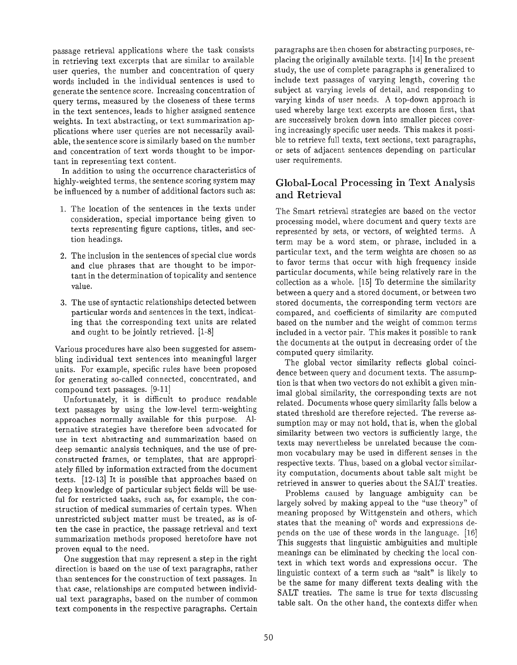passage retrieval applications where the task consists in retrieving text excerpts that are similar to available user queries, the number and concentration of query words included in the individual sentences is used to generate the sentence score. Increasing concentration of query terms, measured by the closeness of these terms in the text sentences, leads to higher assigned sentence weights. In text abstracting, or text summarization applications where user queries are not necessarily available, the sentence score is similarly based on the number and concentration of text words thought to be important in representing text content.

In addition to using the occurrence characteristics of highly-weighted terms, the sentence scoring system may be influenced by a number of additional factors such as:

- 1. The location of the sentences in the texts under consideration, special importance being given to texts representing figure captions, titles, and section headings.
- 2. The inclusion in the sentences of special clue word and clue phrases that are thought to be important in the determination of topicality and sentence value.
- 3. The use of syntactic relationships detected betwee particular words and sentences in the text, indicating that the corresponding text units are related and ought to be jointly retrieved. [1-8]

Various procedures have also been suggested for assembling individual text sentences into meaningful larger units. For example, specific rules have been proposed for generating so-called connected, concentrated, and compound text passages. [9-11]

Unfortunately, it is difficult to produce readable text passages by using the low-level term-weighting approaches normally available for this purpose. Alternative strategies have therefore been advocated for use in text abstracting and summarization based on deep semantic analysis techniques, and the use of preconstructed frames, or templates, that are appropriately filled by information extracted from the document texts. [12-13] It is possible that approaches based on deep knowledge of particular subject fields will be useful for restricted tasks, such as, for example, the construction of medical summaries of certain types. When unrestricted subject matter must be treated, as is often the case in practice, the passage retrieval and text summarization methods proposed heretofore have not proven equal to the need.

One suggestion that may represent a step in the right direction is based on the use of text paragraphs, rather than sentences for the construction of text passages. In that case, relationships are computed between individual text paragraphs, based on the number of common text components in the respective paragraphs. Certain

paragraphs are then chosen for abstracting purposes, replacing the originally available texts. [14] In the present study, the use of complete paragraphs is generalized to include text passages of varying length, covering the subject at varying levels of detail, and responding to varying kinds of user needs. A top-down approach is used whereby large text excerpts are chosen first, that are successively broken down into smaller pieces covering increasingly specific user needs. This makes it possible to retrieve full texts, text sections, text paragraphs, or sets of adjacent sentences depending on particular user requirements.

# Global-Local Processing in Text Analysis and Retrieval

The Smart retrieval strategies are based on the vector processing model, where document and query texts are represented by sets, or vectors, of weighted terms. A term may be a word stem, or phrase, included in a particular text, and the term weights are chosen so as to favor terms that occur with high frequency inside particular documents, while being relatively rare in the collection as a whole. [15] To determine the similarity between a query and a stored document, or between two stored documents, the corresponding term vectors are compared, and coefficients of similarity are computed based on the number and the weight of common terms included in a vector pair. This makes it possible to rank the documents at the output in decreasing order of the computed query similarity.

The global vector similarity reflects global coincidence between query and document texts. The assumption is that when two vectors do not exhibit a given minimal global similarity, the corresponding texts are not related. Documents whose query similarity falls below a stated threshold are therefore rejected. The reverse assumption may or may not hold, that is, when the global similarity between two vectors is sufficiently large, the texts may nevertheless be unrelated because the common vocabulary may be used in different senses in the respective texts. Thus, based on a global vector similarity computation, documents about table salt might be retrieved in answer to queries about the SALT treaties.

Problems caused by language ambiguity can be largely solved by making appeal to the "use theory" of meaning proposed by Wittgenstein and others, which states that the meaning of' words and expressions depends on the use of these words in the language. [16] This suggests that linguistic ambiguities and multiple meanings can be eliminated by checking the local context in which text words and expressions occur. The linguistic context of a term such as "salt" is likely to be the same for many different texts dealing with the SALT treaties. The same is true for texts discussing table salt. On the other hand, the contexts differ when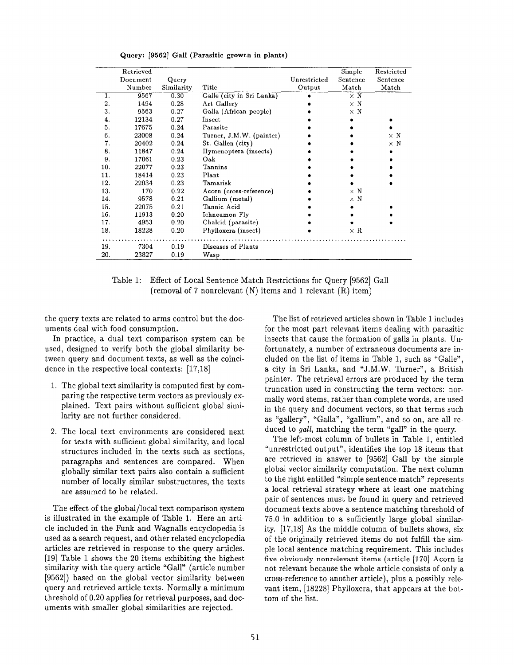|     | Retrieved |            |                           |              | Simple     | Restricted |
|-----|-----------|------------|---------------------------|--------------|------------|------------|
|     | Document  | Query      |                           | Unrestricted | Sentence   | Sentence   |
|     | Number    | Similarity | Title                     | Output       | Match      | Match      |
| 1.  | 9567      | 0.30       | Galle (city in Sri Lanka) |              | $\times$ N |            |
| 2.  | 1494      | 0.28       | Art Gallery               |              | $\times$ N |            |
| 3.  | 9563      | 0.27       | Galla (African people)    |              | $\times$ N |            |
| 4.  | 12134     | 0.27       | Insect                    |              |            |            |
| 5.  | 17675     | 0.24       | Parasite                  |              |            |            |
| 6.  | 23008     | 0.24       | Turner, J.M.W. (painter)  |              |            | $\times$ N |
| 7.  | 20402     | 0.24       | St. Gallen (city)         |              |            | $\times$ N |
| 8.  | 11847     | 0.24       | Hymenoptera (insects)     |              |            |            |
| 9.  | 17061     | 0.23       | Oak                       |              |            |            |
| 10. | 22077     | 0.23       | Tannins                   |              |            |            |
| 11. | 18414     | 0.23       | Plant                     |              |            |            |
| 12. | 22034     | 0.23       | Tamarisk                  |              |            |            |
| 13. | 170       | 0.22       | Acorn (cross-reference)   |              | $\times$ N |            |
| 14. | 9578      | 0.21       | Gallium (metal)           |              | $\times$ N |            |
| 15. | 22075     | 0.21       | Tannic Acid               |              |            |            |
| 16. | 11913     | 0.20       | Ichneumon Fly             |              |            |            |
| 17. | 4953      | 0.20       | Chalcid (parasite)        |              |            |            |
| 18. | 18228     | 0.20       | Phylloxera (insect)       |              | $\times$ R |            |
|     |           |            |                           |              |            |            |
| 19. | 7304      | 0.19       | Diseases of Plants        |              |            |            |
| 20. | 23827     | 0.19       | Wasp                      |              |            |            |

Query: [9562] Gall (Parasitic growth in plants)

Table 1: Effect of Local Sentence Match Restrictions for Query [9562] Gall (removal of 7 nonrelevant (N) items and 1 relevant (R) item)

the query texts are related to arms control but the documents deal with food consumption.

In practice, a dual text comparison system can be used, designed to verify both the global similarity between query and document texts, as well as the coincidence in the respective local contexts: [17,18]

- 1. The global text similarity is computed first by comparing the respective term vectors as previously explained. Text pairs without sufficient globad similarity are not further considered.
- 2. The local text environments are considered nex for texts with sufficient global similarity, and local structures included in the texts such as sections, paragraphs and sentences are compared. When globally similar text pairs also contain a sufficient number of locally similar substructures, the texts are assumed to be related.

The effect of the global/local text comparison system is illustrated in the example of Table 1. Here an article included in the Funk and Wagnalls encyclopedia is used as a search request, and other related encyclopedia articles are retrieved in response to the query articles. [19] Table 1 shows the 20 items exhibiting the highest similarity with the query article "Gall" (article number [9562]) based on the global vector similarity between query and retrieved article texts. Normally a minimum threshold of 0.20 applies for retrieval purposes, and documents with smaller global similarities are rejected.

The list of retrieved articles shown in Table 1 includes for the most part relevant items dealing with parasitic insects that cause the formation of galls in plants. Unfortunately, a number of extraneous documents are included on the list of items in Table 1, such as "Galle", a city in Sri Lanka, and "J.M.W. Turner", a British painter. The retrieval errors are produced by the term truncation used in constructing the term vectors: normally word stems, rather than complete words, are used in the query and document vectors, so that terms such as "gallery", "Galla", "gallium", and so on, are all reduced to gall, matching the term "gall" in the query.

The left-most column of bullets in Table 1, entitled "unrestricted output", identifies the top 18 items that are retrieved in answer to [9562] Gall by the simple global vector similarity computation. The next column to the right entitled "simple sentence match" represents a local retrieval strategy where at least one matching pair of sentences must be found in query and retrieved document texts above a sentence matching threshold of 75.0 in addition to a sufficiently large global similarity. [17,18] As the middle column of bullets shows, six of the originally retrieved items do not fulfill the simple local sentence matching requirement. This includes five obviously nonrelevant items (article [170] Acorn is not relevant because the whole article consists of only a cross-reference to another article), plus a possibly relevant item, [18228] Phylloxera, that appears at the bottom of the list.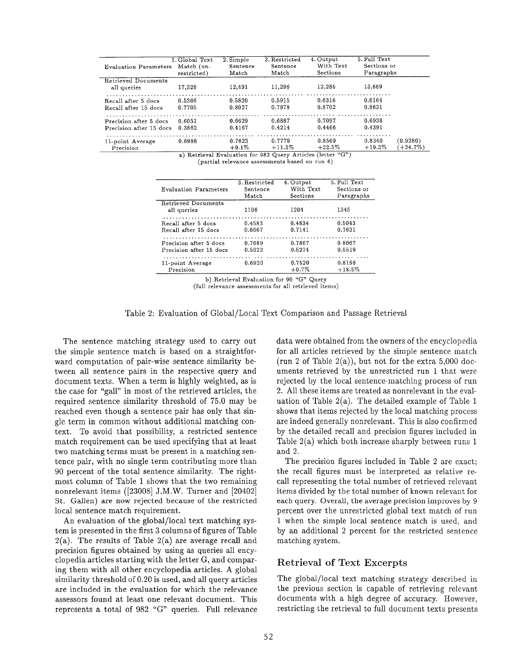| <b>Evaluation Parameters</b>                      | 1. Global Text<br>Match (un-<br>restricted) | 2. Simple<br>Sentence<br>Match | 3. Restricted<br>Sentence<br>Match                                                                      | 4. Output<br>With Text<br>Sections | 5. Full Text<br>Sections or<br>Paragraphs |                       |
|---------------------------------------------------|---------------------------------------------|--------------------------------|---------------------------------------------------------------------------------------------------------|------------------------------------|-------------------------------------------|-----------------------|
| <b>Retrieved Documents</b><br>all queries         | 17.328                                      | 12,491                         | 11,296                                                                                                  | 12,285                             | 13,669                                    |                       |
| Recall after 5 docs<br>Recall after 15 docs       | 0.5366<br>0.7705                            | 0.5820<br>0.8027               | 0.5915<br>0.7978                                                                                        | 0.6316<br>0.8702                   | 0.6164<br>0.8631                          |                       |
| Precision after 5 docs<br>Precision after 15 docs | 0.6051<br>0.3862                            | 0.6629<br>0.4167               | 0.6887<br>0.4214                                                                                        | 0.7097<br>0.4466                   | 0.6938<br>0.4391                          |                       |
| 11-point Average<br>Precision                     | 0.6988                                      | 0.7623<br>$+9.1\%$             | 0.7779<br>$+11.3\%$<br>$\sim$ Distributed Production for 083 Output Antiples (lotter $\frac{1000}{2}$ ) | 0.8569<br>$+22.5\%$                | 0.8340<br>$+19.3%$                        | (0.9280)<br>$+24.7\%$ |

Retrieval Evaluation for 982 Query Articles (lett (partial relevance assessments based on run 4)

| Evaluation Parameters                     | 3. Restricted | 4. Output | 5. Full Text |
|-------------------------------------------|---------------|-----------|--------------|
|                                           | Sentence      | With Text | Sections or  |
|                                           | Match         | Sections  | Paragraphs   |
| <b>Retrieved Documents</b><br>all queries | 1106          | 1204      | 1345         |
| Recall after 5 docs                       | 0.4583        | 0.4834    | 0.5043       |
| Recall after 15 docs                      | 0.6667        | 0.7141    | 0.7631       |
| Precision after 5 docs                    | 0.7689        | 0.7867    | 0.8067       |
| Precision after 15 docs                   | 0.5022        | 0.5274    | 0.5519       |
| 11-point Average                          | 0.6920        | 0.7520    | 0.8198       |
| Precision                                 |               | $+9.7%$   | $+18.5\%$    |

b) Retrieval Evaluation for 90 "G" Query (full relevance assessments for all retrieved items)

Table 2: Evaluation of Global/Local Text Comparison and Passage Retrieval

The sentence matching strategy used to carry out the simple sentence match is based on a straightforward computation of pair-wise sentence similarity between all sentence pairs in the respective query and document texts. When a term is highly weighted, as is the case for "gall" in most of the retrieved articles, the required sentence similarity threshold of 75.0 may be reached even though a sentence pair has only that single term in common without additional matching context. To avoid that possibility, a restricted sentence match requirement can be used specifying that at least two matching terms must be present in a matching sentence pair, with no single term contributing more than 90 percent of the total sentence similarity. The rightmost column of Table 1 shows that the two remaining nonrelevant items ([23008] J.M.W. Turner and [20402] St. Gallen) are now rejected because of the restricted local sentence match requirement.

An evaluation of the global/local text matching system is presented in the first 3 columns of figures of Table  $2(a)$ . The results of Table  $2(a)$  are average recall and precision figures obtained by using as queries all encyclopedia articles starting with the letter G, and comparing them with all other encyclopedia articles. A global similarity threshold of 0.20 is used, and all query articles are included in the evaluation for which the relevance assessors found at least one relevant document. This represents a total of 982 "G" queries. Full relevance data were obtained from the owners of the encyclopedia for all articles retrieved by the simple sentence match (run 2 of Table 2(a)), but not for the extra  $5,000$  documents retrieved by the unrestricted run 1 that were rejected by the local sentence-matching process of run 2. All these items are treated as nonrelevant in the evaluation of Table 2(a). The detailed example of Table 1 shows that items rejected by the local matching process are indeed generally nonrelevant. This is also confirmed by the detailed recall and precision figures included in Table 2(a) which both increase sharply between runs 1 and 2.

The precision figures included in Table 2 are exact; the recall figures must be interpreted as relative recall representing the total number of retrieved relevant items divided by the total number of known relevant for each query. Overall, the average precision improves by 9 percent over the unrestricted global text match of run 1 when the simple local sentence match is used, and by an additional 2 percent for the restricted sentence matching system.

## Retrieval of Text Excerpts

The global/local text matching strategy described in the previous section is capable of retrieving relevant documents with a high degree of accuracy. However, restricting the retrieval to full document texts presents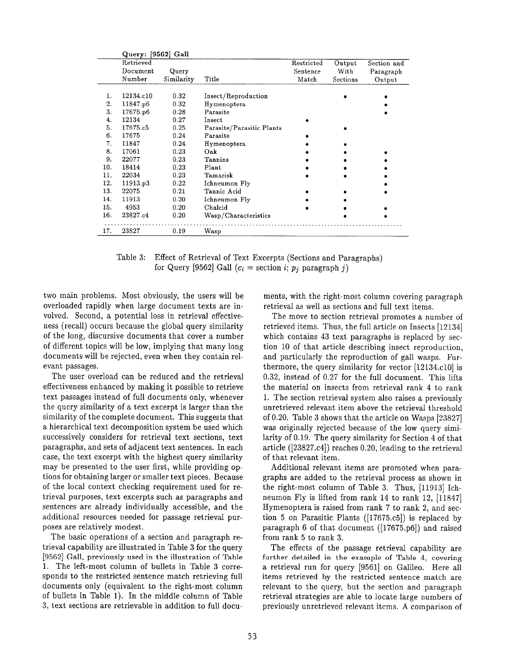|     | Query: [9562] Gall |            |                           |            |          |             |
|-----|--------------------|------------|---------------------------|------------|----------|-------------|
|     | Retrieved          |            |                           | Restricted | Output   | Section and |
|     | Document           | Query      |                           | Sentence   | With     | Paragraph   |
|     | Number             | Similarity | Title                     | Match      | Sections | Output      |
|     |                    |            |                           |            |          |             |
| 1.  | 12134.c10          | 0.32       | Insect/Reproduction       |            |          |             |
| 2.  | 11847.p6           | 0.32       | Hymenoptera               |            |          |             |
| 3.  | 17675.p6           | 0.28       | Parasite                  |            |          |             |
| 4.  | 12134              | 0.27       | Insect                    |            |          |             |
| 5.  | 17675.c5           | 0.25       | Parasite/Parasitic Plants |            |          |             |
| 6.  | 17675              | 0.24       | Parasite                  |            |          |             |
| 7.  | 11847              | 0.24       | Hymenoptera               |            |          |             |
| 8.  | 17061              | 0.23       | Oak                       |            |          |             |
| 9.  | 22077              | 0.23       | Tannins                   |            |          |             |
| 10. | 18414              | 0.23       | Plant                     |            |          |             |
| 11. | 22034              | 0.23       | Tamarisk                  |            |          |             |
| 12. | 11913.p3           | 0.22       | Ichneumon Fly             |            |          |             |
| 13. | 22075              | 0.21       | Tannic Acid               |            |          |             |
| 14. | 11913              | 0.20       | Ichneumon Fly             |            |          |             |
| 15. | 4953               | 0.20       | Chalcid                   |            |          |             |
| 16. | 23827.c4           | 0.20       | Wasp/Characteristics      |            |          |             |
| 17. | 23827              | 0.19       | Wasp                      |            |          |             |

Table 3: Effect of Retrieval of Text Excerpts (Sections and Paragraphs) for Query [9562] Gall ( $c_i$  = section i;  $p_j$  paragraph j)

two main problems. Most obviously, the users will be overloaded rapidly when large document texts are involved, Second, a potential loss in retrieval effectiveness (recall) occurs because the global query similarity of the long, discursive documents that cover a number of different topics will be low, implying that many long documents will be rejected, even when they contain relevant passages.

The user overload can be reduced and the retrieval effectiveness enhanced by making it possible to retrieve text passages instead of full documents only, whenever the query similarity of a text excerpt is larger than the similarity of the complete document. This suggests that a hierarchical text decomposition system be used which successively considers for retrieval text sections, text paragraphs, and sets of adjacent text sentences. In each case, the text excerpt with the highest query similarity may be presented to the user first, while providing options for obtaining larger or smaller text pieces. Because of the local context checking requirement used for retrieval purposes, text excerpts such as paragraphs and sentences are already individually accessible, and the additional resources needed for passage retrieval purposes are relatively modest.

The basic operations of a section and paragraph retrieval capability are illustrated in Table 3 for the query [9562] Gall, previously used in the illustration of Table 1. The left-most column of bullets in Table 3 corresponds to the restricted sentence match retrieving full documents only (equivalent to the right-most column of bullets in Table 1). In the middle column of Table 3, text sections are retrievable in addition to full documents, with the right-most column covering paragraph retrieval as well as sections and full text items.

The move to section retrieval promotes a number of retrieved items. Thus, the full article on Insects [12134] which contains 43 text paragraphs is replaced by section 10 of that article describing insect reproduction, and particularly the reproduction of gall wasps. Furthermore, the query similarity for vector  $[12134,c10]$  is 0.32, instead of 0.27 for the full document. This lifts the material on insects from retrieval rank 4 to rank 1. The section retrieval system also raises a previously unretrieved relevant item above the retrieval threshold of 0.20. Table 3 shows that the article on Wasps [23827] was originally rejected because of the low query similarity of 0.19. The query similarity for Section 4 of that article ([23827.c4] ) reaches 0.20, leading to the retrieval of that relevant item.

Additional relevant items are promoted when paragraphs are added to the retrieval process as shown in the right-most column of Table 3. Thus, [11913] Ichneumon Fly is lifted from rank 14 to rank 12, [11847] Hymenoptera is raised from rank  $7$  to rank  $2$ , and section 5 on Parasitic Plants ([17675 .c5]) is replaced by paragraph 6 of that document  $([17675,p6])$  and raised from rank 5 to rank 3.

The effects of the passage retrieval capability are further detailed in the example of Table 4, covering a retrieval run for query [9561] on Galileo. Here all items retrieved by the restricted sentence match are relevant to the query, but the section and paragraph retrieval strategies are able to locate large numbers of previously unretrieved relevant items. A comparison of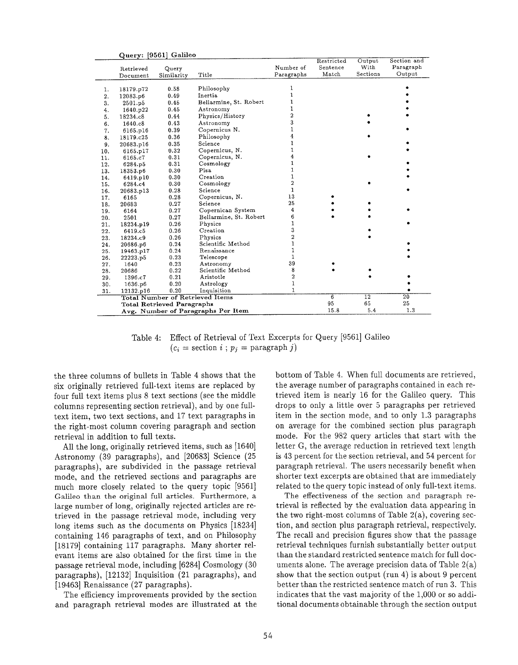|     |           | Query: [9561] Galileo             |                                        |                |            |                 |                 |
|-----|-----------|-----------------------------------|----------------------------------------|----------------|------------|-----------------|-----------------|
|     |           |                                   |                                        |                | Restricted | Output<br>With  | Section and     |
|     | Retrieved | Query                             |                                        | Number of      | Sentence   |                 | Paragraph       |
|     | Document  | Similarity                        | Title                                  | Paragraphs     | Match      | Sections        | Output          |
|     |           |                                   |                                        | 1              |            |                 |                 |
| 1.  | 18179.p72 | 0.58                              | Philosophy                             | $\mathbf{1}$   |            |                 |                 |
| 2.  | 12083.p6  | 0.49                              | Inertia                                | 1              |            |                 |                 |
| 3.  | 2501.p5   | 0.45                              | Bellarmine, St. Robert                 |                |            |                 |                 |
| 4.  | 1640.p22  | 0.45                              | Astronomy                              | 1              |            |                 |                 |
| 5.  | 18234.c8  | 0.44                              | Physics/History                        | $\overline{c}$ |            |                 |                 |
| 6.  | 1640.c8   | 0.43                              | Astronomy                              | 3              |            |                 |                 |
| 7.  | 6165.p16  | 0.39                              | Copernicus N.                          | 1              |            |                 |                 |
| 8.  | 18179.c25 | 0.36                              | Philosophy                             | $\overline{4}$ |            |                 |                 |
| 9.  | 20683.p16 | 0.35                              | Science                                | $\mathbf{1}$   |            |                 |                 |
| 10. | 6165.p17  | 0.32                              | Copernicus, N.                         | 1              |            |                 |                 |
| 11. | 6165.c7   | 0.31                              | Copernicus, N.                         | 4              |            |                 |                 |
| 12. | 6284.p5   | 0.31                              | Cosmology                              | $\mathbf{1}$   |            |                 |                 |
| 13. | 18353.p6  | 0.30                              | Pisa                                   | $\mathbf{1}$   |            |                 |                 |
| 14. | 6419.p10  | 0.30                              | Creation                               | $\mathbf 1$    |            |                 |                 |
| 15. | 6284.c4   | 0.30                              | Cosmology                              | $\overline{c}$ |            |                 |                 |
| 16. | 20683.p13 | 0.28                              | Science                                | $\mathbf{1}$   |            |                 |                 |
| 17. | 6165      | 0.28                              | Copernicus, N.                         | 13             |            |                 |                 |
| 18. | 20683     | 0.27                              | Science                                | 25             |            |                 |                 |
| 19. | 6164      | 0.27                              | Copernican System                      | 4              |            |                 |                 |
| 20. | 2501      | 0.27                              | Bellarmine, St. Robert                 | 6              |            |                 |                 |
| 21. | 18234.p19 | 0.26                              | Physics                                | $\mathbf{1}$   |            |                 |                 |
| 22. | 6419.c5   | 0.26                              | Creation                               | 3              |            |                 |                 |
| 23. | 18234.c9  | 0.26                              | Physics                                | $\overline{a}$ |            |                 |                 |
| 24. | 20686.p6  | 0.24                              | Scientific Method                      | $\mathbf{1}$   |            |                 |                 |
| 25. | 19463.p17 | 0.24                              | Renaissance                            | 1              |            |                 |                 |
| 26. | 22223.p5  | 0.23                              | Telescope                              | 1              |            |                 |                 |
| 27. | 1640      | 0.23                              | Astronomy                              | 39             |            |                 |                 |
| 28. | 20686     | 0.22                              | Scientific Method                      | 8              |            |                 |                 |
| 29. | 1396.c7   | 0.21                              | Aristotle                              | $\overline{2}$ |            |                 |                 |
| 30. | 1636.p6   | 0.20                              | Astrology                              | 1              |            |                 |                 |
| 31. | 12132.p16 | 0.20                              | Inquisition                            | $\mathbf{1}$   |            |                 |                 |
|     |           |                                   | <b>Total Number of Retrieved Items</b> |                | 6          | $\overline{12}$ | $\overline{20}$ |
|     |           | <b>Total Retrieved Paragraphs</b> |                                        |                | 95         | 65              | 25              |
|     |           |                                   | Avg. Number of Paragraphs Per Item     |                | 15.8       | 5.4             | 1.3             |

Table 4: Effect of Retrieval of Text Excerpts for Query [9561] Galileo  $(c_i = \text{section } i ; p_i = \text{param} j)$ 

the three columns of bullets in Table 4 shows that the six originally retrieved full-text items are replaced by four full text items plus 8 text sections (see the middle columns representing section retrieval), and by one fulltext item, two text sections, and 17 text paragraphs in the right-most column covering paragraph and section retrieval in addition to full texts.

All the long, originally retrieved items, such as [1640] Astronomy (39 paragraphs), and [20683] Science (25 paragraphs), are subdivided in the passage retrieval mode, and the retrieved sections and paragraphs are much more closely related to the query topic [9561] Galileo than the original full articles. Furthermore, a large number of long, originally rejected articles are retrieved in the passage retrieval mode, including very long items such as the documents on Physics [18234] containing 146 paragraphs of text, and on Philosophy [18179] containing 117 paragraphs. Many shorter relevant items are also obtained for the first time in the passage retrieval mode, including [6284] Cosmology (30 paragraphs), [12132] Inquisition (21 paragraphs), and [19463] Renaissance (27 paragraphs).

The efficiency improvements provided by the section and paragraph retrieval modes are illustrated at the bottom of Table 4. When full documents are retrieved, the average number of paragraphs contained in each retrieved item is nearly 16 for the Galileo query. This drops to only a little over 5 paragraphs per retrieved item in the section mode, and to only 1.3 paragraphs on average for the combined section plus paragraph mode. For the 982 query articles that start with the letter G, the average reduction in retrieved text length is 43 percent for the section retrieval, and 54 percent for paragraph retrieval. The users necessarily benefit when shorter text excerpts are obtained that are immediately related to the query topic instead of only full-text items.

The effectiveness of the section and paragraph retrieval is reflected by the evaluation data appearing in the two right-most columns of Table  $2(a)$ , covering section, and section plus paragraph retrieval, respectively, The recall and precision figures show that the passage retrieval techniques furnish substantially better output than the standard restricted sentence match for full documents alone. The average precision data of Table 2(a) show that the section output (run 4) is about 9 percent better than the restricted sentence match of run 3. This indicates that the vast majority of the 1,000 or so additional documents obtainable through the section output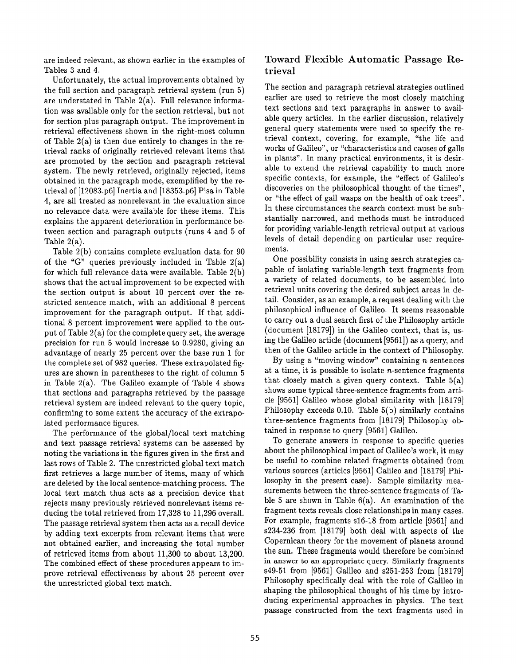are indeed relevant, as shown earlier in the examples of Tables 3 and 4.

Unfortunately, the actual improvements obtained by the full section and paragraph retrieval system (run 5) are understated in Table  $2(a)$ . Full relevance information was available only for the section retrieval, but not for section plus paragraph output. The improvement in retrieval effectiveness shown in the right-most (column of Table 2(a) is then due entirely to changes in the retrieval ranks of originally retrieved relevant iterns that are promoted by the section and paragraph retrieval system. The newly retrieved, originally rejected, items obtained in the paragraph mode, exemplified by the retrieval of [12083.P6] Inertia and [18353.P6] Piss in Table 4, are all treated as nonrelevant in the evaluation since no relevance data were available for these items. This explains the apparent deterioration in performance between section and paragraph outputs (runs 4 and 5 of Table 2(a).

Table 2(b) contains complete evaluation data, for 90 of the "G" queries previously included in Table  $2(a)$ for which full relevance data were available. Table 2(b) shows that the actual improvement to be expected with the section output is about 10 percent over the restricted sentence match, with an additional 8 percent improvement for the paragraph output. If that additional 8 percent improvement were applied to the output of Table 2(a) for the complete query set, the average precision for run 5 would increase to 0.9280, giving an advantage of nearly 25 percent over the base run 1 for the complete set of 982 queries. These extrapolated figures are shown in parentheses to the right of column 5 in Table  $2(a)$ . The Galileo example of Table 4 shows that sections and paragraphs retrieved by the passage retrieval system are indeed relevant to the query topic, confirming to some extent the accuracy of the extrapolated performance figures.

The performance of the global/local text matching and text passage retrieval systems can be assessed by noting the variations in the figures given in the first and last rows of Table 2. The unrestricted global text match first retrieves a large number of items, many of which are deleted by the local sentence-matching process. The local text match thus acts as a precision device that rejects many previously retrieved nonrelevant items reducing the total retrieved from 17,328 to 11,296 overall. The passage retrieval system then acts as a recall device by adding text excerpts from relevant items that were not obtained earlier, and increasing the total number of retrieved items from about 11,300 to about 13,200. The combined effect of these procedures appears to improve retrieval effectiveness by about 25 percent over the unrestricted global text match.

## Toward Flexible Automatic Passage Retrieval

The section and paragraph retrieval strategies outlined earlier are used to retrieve the most closely matching text sections and text paragraphs in answer to available query articles, In the earlier discussion, relatively general query statements were used to specify the retrieval context, covering, for example, "the life and works of Galileo", or "characteristics and causes of galls in plants". In many practical environments, it is desirable to extend the retrieval capability to much more specific contexts, for example, the "effect of Galileo's discoveries on the philosophical thought of the times", or "the effect of gall wasps on the health of oak trees". In these circumstances the search context must be substantially narrowed, and methods must be introduced for providing variable-length retrieval output at various levels of detail depending on particular user requirements.

One possibility consists in using search strategies capable of isolating variable-length text fragments from a variety of related documents, to be assembled into retrieval units covering the desired subject areas in detail. Consider, as an example, a request dealing with the philosophical influence of Galileo. It seems reasonable to carry out a dual search first of the Philosophy article (document [18179]) in the Galileo context, that is, using the Galileo article (document [9561]) as a query, and then of the Galileo article in the context of Philosophy.

By using a "moving window" containing  $n$  sentences at a time, it is possible to isolate  $n$ -sentence fragments that closely match a given query context. Table  $5(a)$ shows some typical three-sentence fragments from article [9561] Galileo whose global similarity with [18179] Philosophy exceeds 0.10. Table 5(b) similarly contains three-sentence fragments from [18179] Philosophy obtained in response to query [9561] Galileo.

To generate answers in response to specific queries about the philosophical impact of Galileo's work, it may be useful to combine related fragments obtained from various sources (articles [9561] Galileo and [18179] Philosophy in the present case). Sample similarity measurements between the three-sentence fragments of Table 5 are shown in Table  $6(a)$ . An examination of the fragment texts reveals close relationships in many cases. For example, fragments 516-18 from article [9561] and s234-236 from [18179] both deal with aspects of the Copernican theory for the movement of planets around the sun. These fragments would therefore be combined in answer to an appropriate query. Similarly fragments s49-51 from [9561] Galileo and s251-253 from [18179] Philosophy specifically deal with the role of Galileo in shaping the philosophical thought of his time by introducing experimental approaches in physics. The text passage constructed from the text fragments used in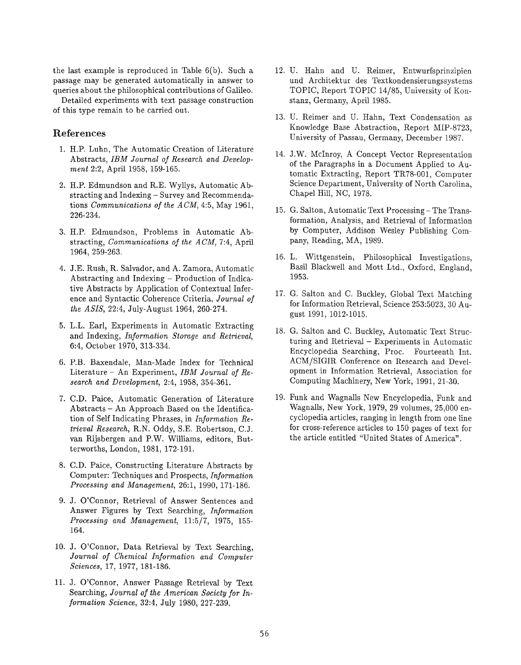the last example is reproduced in Table 6(b). Such a passage may be generated automatically in answer to queries about the philosophical contributions of Galileo.

Detailed experiments with text passage construction of this type remain to be carried out.

#### References

- 1. H.P. Luhn, The Automatic Creation of Literatu Abstracts, IBM Journal of Research and Development 2:2, April 1958, 159-165.
- 2. H.P. Edmundson and R.E. Wyllys, Automatic Abstracting and Indexing – Survey and Recommendations Communications of the ACM, 4:5, May 1961, 226-234.
- 3. H.P. Edmundson, Problems in Automatic Abstracting, Communications of the ACM, 7:4, April 1964, 259-263.
- 4. J.E. Rush, R. Salvador, and A. Zamora, Automatic Abstracting and Indexing – Production of Indicative Abstracts by Application of Contextual Inference and Syntactic Coherence Criteria, Journal of the ASIS, 22:4, July-August 1964, 260-274.
- 5. L.L. Earl, Experiments in Automatic Extracting and Indexing, Information Storage and Retrieval, 6:4, October 1970, 313-334.
- o. P.B. Baxendale, Man-Made Index for Technica Literature – An Experiment, IBM Journal of Research and Development, 2:4, 1958, 354-361.
- 7. C.D. Paice, Automatic Generation of Literature Abstracts – An Approach Based on the Identification of Self Indicating Phrases, in *Information Re*trieval Research, R.N. Oddy, S.E. Robertson, C.J. van Rljsbergen and P.W. Williams, editors, Butterworths, London, 1981, 172-191.
- 8. C.D. Paice, Constructing Literature Abstracts by Computer: Techniques and Prospects, Information Processing and Management, 26:1, 1990, 171-186.
- 9. J. O'Connor, Retrieval of Answer Sentences and Answer Figures by Text Searching, Information Processing and Management, 11:5/7, 1975, 155- 164.
- 10. J. O'Connor, Data Retrieval by Text Searching, Journal of Chemical Information and Computer Sciences, 17, 1977, 181-186.
- 11. J. O'Connor, Answer Passage Retrieval by Tex Searching, Journal of the American Society for In  $formation\,Science, 32:4, July 1980, 227-239.$
- 12. U. Hahn and U. Reimer, Entwurfsprinzi und Architektur des Textkondensierungssystems TOPIC, Report TOPIC 14/85, University of Konstanz, Germany, April 1985.
- 13. U. Reimer and U. Hahn, Text Condensation as Knowledge Base Abstraction, Report MIP-8723, University of Passau, Germany, December 1987.
- 14. J.W. McInroy, A Concept Vector Representati of the Paragraphs in a Document Applied to Automatic Extracting, Report TR78-001, Computer Science Department, University of North Carolina, Chapel Hill, NC, 1978.
- 15. G. Salton, Automatic Text Processing The Transformation, Analysis, and Retrieval of Information by Computer, Addison Wesley Publishing Company, Reading, MA, 1989.
- 16. L. Wittgenstein, Philosophical Investigatio Basil Blackwell and Mott Ltd., Oxford, England, 1953.
- 17. G. Salton and C. Buckley, Global Text Matching for Information Retrieval, Science 253:5023,30 August 1991, 1012-1015.
- 18. G. Salton and C. Buckley, Automatic Text Structuring and Retrieval – Experiments in Automatic Encyclopedia Searching, Proc. Fourteenth Int. ACM/SIGIR Conference on Research and Development in Information Retrieval, Association for Computing Machinery, New York, 1991, 21-30.
- 19, Funk and Wagnalls New Encyclopedia, Funk and Wagnalls, New York, 1979, 29 volumes, 25,000 encyclopedia articles, ranging in length from one line for cross-reference articles to 150 pages of text for the article entitled "United States of America".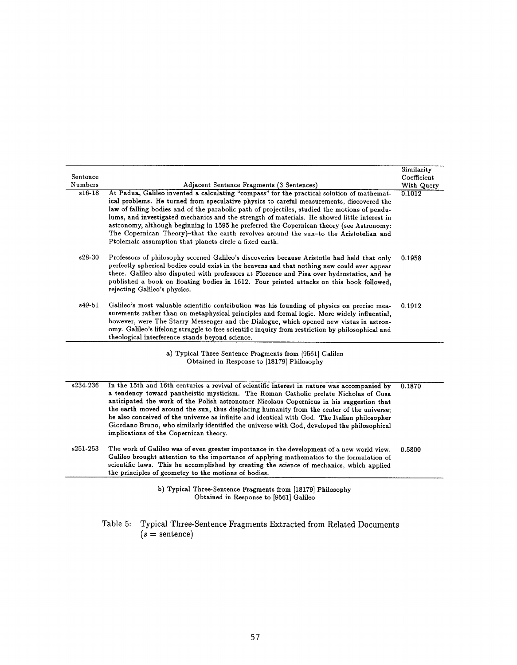|          |                                                                                                                                                                                                                                                                                                                                                                                                                                                                                                                                                                                                                                          | Similarity  |
|----------|------------------------------------------------------------------------------------------------------------------------------------------------------------------------------------------------------------------------------------------------------------------------------------------------------------------------------------------------------------------------------------------------------------------------------------------------------------------------------------------------------------------------------------------------------------------------------------------------------------------------------------------|-------------|
| Sentence |                                                                                                                                                                                                                                                                                                                                                                                                                                                                                                                                                                                                                                          | Coefficient |
| Numbers  | Adjacent Sentence Fragments (3 Sentences)                                                                                                                                                                                                                                                                                                                                                                                                                                                                                                                                                                                                | With Query  |
| $s16-18$ | At Padua, Galileo invented a calculating "compass" for the practical solution of mathemat-<br>ical problems. He turned from speculative physics to careful measurements, discovered the<br>law of falling bodies and of the parabolic path of projectiles, studied the motions of pendu-<br>lums, and investigated mechanics and the strength of materials. He showed little interest in<br>astronomy, although beginning in 1595 he preferred the Copernican theory (see Astronomy:<br>The Copernican Theory)-that the earth revolves around the sun-to the Aristotelian and<br>Ptolemaic assumption that planets circle a fixed earth. | 0.1012      |
| $s28-30$ | Professors of philosophy scorned Galileo's discoveries because Aristotle had held that only<br>perfectly spherical bodies could exist in the heavens and that nothing new could ever appear<br>there. Galileo also disputed with professors at Florence and Pisa over hydrostatics, and he<br>published a book on floating bodies in 1612. Four printed attacks on this book followed,<br>rejecting Galileo's physics.                                                                                                                                                                                                                   | 0.1958      |
| s49-51   | Galileo's most valuable scientific contribution was his founding of physics on precise mea-<br>surements rather than on metaphysical principles and formal logic. More widely influential,<br>however, were The Starry Messenger and the Dialogue, which opened new vistas in astron-<br>omy. Galileo's lifelong struggle to free scientific inquiry from restriction by philosophical and<br>theological interference stands beyond science.                                                                                                                                                                                            | 0.1912      |
|          | a) Typical Three-Sentence Fragments from [9561] Galileo<br>Obtained in Response to [18179] Philosophy                                                                                                                                                                                                                                                                                                                                                                                                                                                                                                                                    |             |
| s234-236 | In the 15th and 16th centuries a revival of scientific interest in nature was accompanied by<br>a tendency toward pantheistic mysticism. The Roman Catholic prelate Nicholas of Cusa<br>anticipated the work of the Polish astronomer Nicolaus Copernicus in his suggestion that<br>the earth moved around the sun, thus displacing humanity from the center of the universe;<br>he also conceived of the universe as infinite and identical with God. The Italian philosopher<br>Giordano Bruno, who similarly identified the universe with God, developed the philosophical<br>implications of the Copernican theory.                  | 0.1870      |
| s251-253 | The work of Galileo was of even greater importance in the development of a new world view.<br>Galileo brought attention to the importance of applying mathematics to the formulation of<br>scientific laws. This he accomplished by creating the science of mechanics, which applied<br>the principles of geometry to the motions of bodies.                                                                                                                                                                                                                                                                                             | 0.5800      |
|          | b) Typical Three-Sentence Fragments from [18179] Philosophy                                                                                                                                                                                                                                                                                                                                                                                                                                                                                                                                                                              |             |

Obtained in Response to [9561] Galile

Table 5: Typical Three-Sentence Fragments Extracted from  $(s=\text{sentence})$ Related Documen